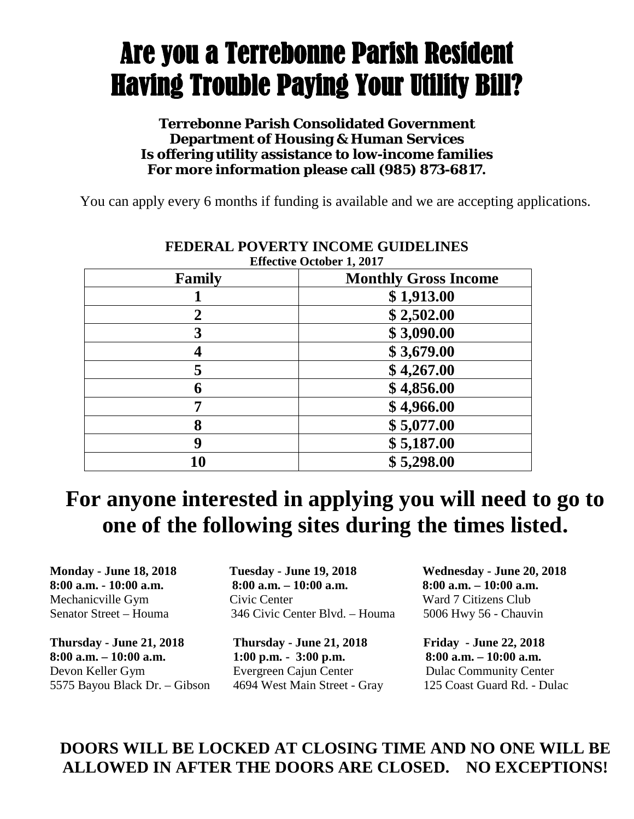# Are you a Terrebonne Parish Resident Having Trouble Paying Your Utility Bill?

#### **Terrebonne Parish Consolidated Government Department of Housing & Human Services Is offering utility assistance to low-income families For more information please call (985) 873-6817.**

You can apply every 6 months if funding is available and we are accepting applications.

| Family         | <b>Effective October 1, 2017</b><br><b>Monthly Gross Income</b> |
|----------------|-----------------------------------------------------------------|
|                |                                                                 |
|                | \$1,913.00                                                      |
| $\overline{2}$ | \$2,502.00                                                      |
| 3              | \$3,090.00                                                      |
|                | \$3,679.00                                                      |
| 5              | \$4,267.00                                                      |
| 6              | \$4,856.00                                                      |
|                | \$4,966.00                                                      |
| 8              | \$5,077.00                                                      |
| 9              | \$5,187.00                                                      |
| 10             | \$5,298.00                                                      |

## **FEDERAL POVERTY INCOME GUIDELINES**

### **For anyone interested in applying you will need to go to one of the following sites during the times listed.**

**Thursday - June 21, 2018 Thursday - June 21, 2018 Friday - June 22, 2018 8:00 a.m. – 10:00 a.m. 1:00 p.m. - 3:00 p.m. 8:00 a.m. – 10:00 a.m.**  Devon Keller Gym Evergreen Cajun Center Dulac Community Center 5575 Bayou Black Dr. – Gibson 4694 West Main Street - Gray 125 Coast Guard Rd. - Dulac

**Monday - June 18, 2018 Tuesday - June 19, 2018 Wednesday - June 20, 2018 8:00 a.m. - 10:00 a.m. 8:00 a.m. – 10:00 a.m. 8:00 a.m. – 10:00 a.m.** Mechanicville Gym Civic Center Ward 7 Citizens Club Senator Street – Houma 346 Civic Center Blvd. – Houma 5006 Hwy 56 - Chauvin

#### **DOORS WILL BE LOCKED AT CLOSING TIME AND NO ONE WILL BE ALLOWED IN AFTER THE DOORS ARE CLOSED. NO EXCEPTIONS!**